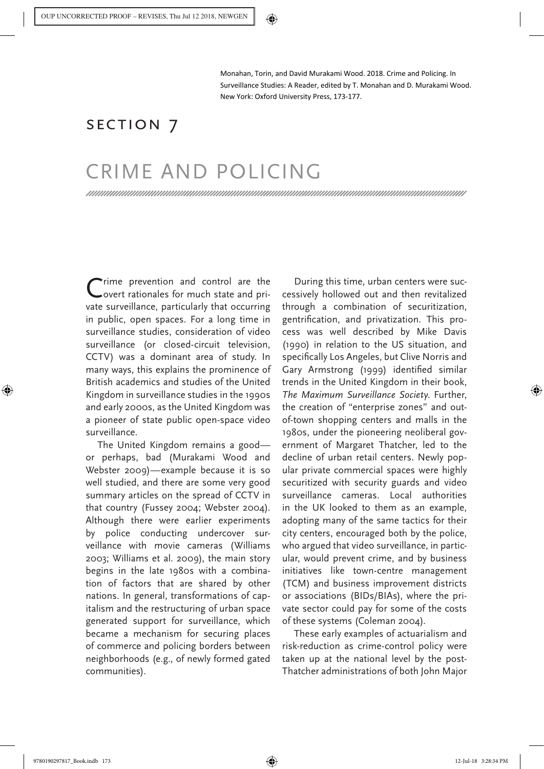Monahan, Torin, and David Murakami Wood. 2018. Crime and Policing. In Surveillance Studies: A Reader, edited by T. Monahan and D. Murakami Wood. New York: Oxford University Press, 173-177.

## SECTION 7

## CRIME AND POLICING

Crime prevention and control are the overt rationales for much state and private surveillance, particularly that occurring in public, open spaces. For a long time in surveillance studies, consideration of video surveillance (or closed-circuit television, CCTV) was a dominant area of study. In many ways, this explains the prominence of British academics and studies of the United Kingdom in surveillance studies in the 1990s and early 2000s, as the United Kingdom was a pioneer of state public open-space video surveillance.

The United Kingdom remains a good or perhaps, bad (Murakami Wood and Webster 2009)—example because it is so well studied, and there are some very good summary articles on the spread of CCTV in that country (Fussey 2004; Webster 2004). Although there were earlier experiments by police conducting undercover surveillance with movie cameras (Williams 2003; Williams et al. 2009), the main story begins in the late 1980s with a combination of factors that are shared by other nations. In general, transformations of capitalism and the restructuring of urban space generated support for surveillance, which became a mechanism for securing places of commerce and policing borders between neighborhoods (e.g., of newly formed gated communities).

During this time, urban centers were successively hollowed out and then revitalized through a combination of securitization, gentrification, and privatization. This process was well described by Mike Davis (1990) in relation to the US situation, and specifically Los Angeles, but Clive Norris and Gary Armstrong (1999) identified similar trends in the United Kingdom in their book, *The Maximum Surveillance Society*. Further, the creation of "enterprise zones" and outof-town shopping centers and malls in the 1980s, under the pioneering neoliberal government of Margaret Thatcher, led to the decline of urban retail centers. Newly popular private commercial spaces were highly securitized with security guards and video surveillance cameras. Local authorities in the UK looked to them as an example, adopting many of the same tactics for their city centers, encouraged both by the police, who argued that video surveillance, in particular, would prevent crime, and by business initiatives like town-centre management (TCM) and business improvement districts or associations (BIDs/BIAs), where the private sector could pay for some of the costs of these systems (Coleman 2004).

These early examples of actuarialism and risk-reduction as crime-control policy were taken up at the national level by the post-Thatcher administrations of both John Major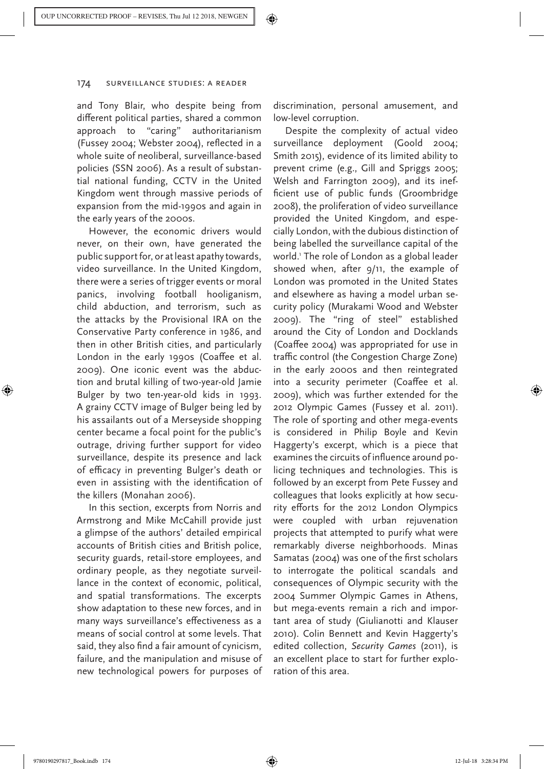and Tony Blair, who despite being from different political parties, shared a common approach to "caring" authoritarianism (Fussey 2004; Webster 2004), reflected in a whole suite of neoliberal, surveillance-based policies (SSN 2006). As a result of substantial national funding, CCTV in the United Kingdom went through massive periods of expansion from the mid-1990s and again in the early years of the 2000s.

However, the economic drivers would never, on their own, have generated the public support for, or at least apathy towards, video surveillance. In the United Kingdom, there were a series of trigger events or moral panics, involving football hooliganism, child abduction, and terrorism, such as the attacks by the Provisional IRA on the Conservative Party conference in 1986, and then in other British cities, and particularly London in the early 1990s (Coaffee et al. 2009). One iconic event was the abduction and brutal killing of two-year-old Jamie Bulger by two ten-year-old kids in 1993. A grainy CCTV image of Bulger being led by his assailants out of a Merseyside shopping center became a focal point for the public's outrage, driving further support for video surveillance, despite its presence and lack of efficacy in preventing Bulger's death or even in assisting with the identification of the killers (Monahan 2006).

In this section, excerpts from Norris and Armstrong and Mike McCahill provide just a glimpse of the authors' detailed empirical accounts of British cities and British police, security guards, retail-store employees, and ordinary people, as they negotiate surveillance in the context of economic, political, and spatial transformations. The excerpts show adaptation to these new forces, and in many ways surveillance's effectiveness as a means of social control at some levels. That said, they also find a fair amount of cynicism, failure, and the manipulation and misuse of new technological powers for purposes of discrimination, personal amusement, and low-level corruption.

Despite the complexity of actual video surveillance deployment (Goold 2004; Smith 2015), evidence of its limited ability to prevent crime (e.g., Gill and Spriggs 2005; Welsh and Farrington 2009), and its inefficient use of public funds (Groombridge 2008), the proliferation of video surveillance provided the United Kingdom, and especially London, with the dubious distinction of being labelled the surveillance capital of the world.1 The role of London as a global leader showed when, after 9/11, the example of London was promoted in the United States and elsewhere as having a model urban security policy (Murakami Wood and Webster 2009). The "ring of steel" established around the City of London and Docklands (Coaffee 2004) was appropriated for use in traffic control (the Congestion Charge Zone) in the early 2000s and then reintegrated into a security perimeter (Coaffee et al. 2009), which was further extended for the 2012 Olympic Games (Fussey et al. 2011). The role of sporting and other mega-events is considered in Philip Boyle and Kevin Haggerty's excerpt, which is a piece that examines the circuits of influence around policing techniques and technologies. This is followed by an excerpt from Pete Fussey and colleagues that looks explicitly at how security efforts for the 2012 London Olympics were coupled with urban rejuvenation projects that attempted to purify what were remarkably diverse neighborhoods. Minas Samatas (2004) was one of the first scholars to interrogate the political scandals and consequences of Olympic security with the 2004 Summer Olympic Games in Athens, but mega-events remain a rich and important area of study (Giulianotti and Klauser 2010). Colin Bennett and Kevin Haggerty's edited collection, *Security Games* (2011), is an excellent place to start for further exploration of this area.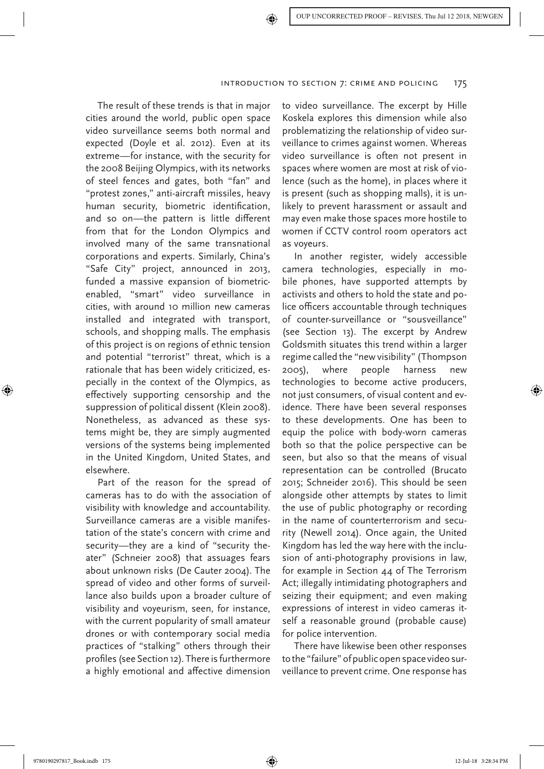The result of these trends is that in major cities around the world, public open space video surveillance seems both normal and expected (Doyle et al. 2012). Even at its extreme—for instance, with the security for the 2008 Beijing Olympics, with its networks of steel fences and gates, both "fan" and "protest zones," anti-aircraft missiles, heavy human security, biometric identification, and so on—the pattern is little different from that for the London Olympics and involved many of the same transnational corporations and experts. Similarly, China's "Safe City" project, announced in 2013, funded a massive expansion of biometricenabled, "smart" video surveillance in cities, with around 10 million new cameras installed and integrated with transport, schools, and shopping malls. The emphasis of this project is on regions of ethnic tension and potential "terrorist" threat, which is a rationale that has been widely criticized, especially in the context of the Olympics, as effectively supporting censorship and the suppression of political dissent (Klein 2008). Nonetheless, as advanced as these systems might be, they are simply augmented versions of the systems being implemented in the United Kingdom, United States, and elsewhere.

Part of the reason for the spread of cameras has to do with the association of visibility with knowledge and accountability. Surveillance cameras are a visible manifestation of the state's concern with crime and security—they are a kind of "security theater" (Schneier 2008) that assuages fears about unknown risks (De Cauter 2004). The spread of video and other forms of surveillance also builds upon a broader culture of visibility and voyeurism, seen, for instance, with the current popularity of small amateur drones or with contemporary social media practices of "stalking" others through their profiles (see Section 12). There is furthermore a highly emotional and affective dimension

to video surveillance. The excerpt by Hille Koskela explores this dimension while also problematizing the relationship of video surveillance to crimes against women. Whereas video surveillance is often not present in spaces where women are most at risk of violence (such as the home), in places where it is present (such as shopping malls), it is unlikely to prevent harassment or assault and may even make those spaces more hostile to women if CCTV control room operators act as voyeurs.

In another register, widely accessible camera technologies, especially in mobile phones, have supported attempts by activists and others to hold the state and police officers accountable through techniques of counter-surveillance or "sousveillance" (see Section 13). The excerpt by Andrew Goldsmith situates this trend within a larger regime called the "new visibility" (Thompson 2005), where people harness new technologies to become active producers, not just consumers, of visual content and evidence. There have been several responses to these developments. One has been to equip the police with body-worn cameras both so that the police perspective can be seen, but also so that the means of visual representation can be controlled (Brucato 2015; Schneider 2016). This should be seen alongside other attempts by states to limit the use of public photography or recording in the name of counterterrorism and security (Newell 2014). Once again, the United Kingdom has led the way here with the inclusion of anti-photography provisions in law, for example in Section 44 of The Terrorism Act; illegally intimidating photographers and seizing their equipment; and even making expressions of interest in video cameras itself a reasonable ground (probable cause) for police intervention.

There have likewise been other responses to the "failure" of public open space video surveillance to prevent crime. One response has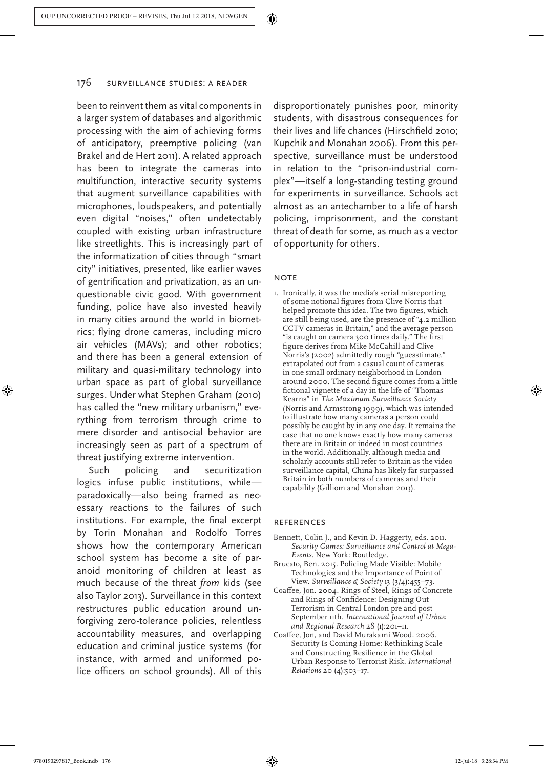been to reinvent them as vital components in a larger system of databases and algorithmic processing with the aim of achieving forms of anticipatory, preemptive policing (van Brakel and de Hert 2011). A related approach has been to integrate the cameras into multifunction, interactive security systems that augment surveillance capabilities with microphones, loudspeakers, and potentially even digital "noises," often undetectably coupled with existing urban infrastructure like streetlights. This is increasingly part of the informatization of cities through "smart city" initiatives, presented, like earlier waves of gentrification and privatization, as an unquestionable civic good. With government funding, police have also invested heavily in many cities around the world in biometrics; flying drone cameras, including micro air vehicles (MAVs); and other robotics; and there has been a general extension of military and quasi-military technology into urban space as part of global surveillance surges. Under what Stephen Graham (2010) has called the "new military urbanism," everything from terrorism through crime to mere disorder and antisocial behavior are increasingly seen as part of a spectrum of threat justifying extreme intervention.

Such policing and securitization logics infuse public institutions, while paradoxically—also being framed as necessary reactions to the failures of such institutions. For example, the final excerpt by Torin Monahan and Rodolfo Torres shows how the contemporary American school system has become a site of paranoid monitoring of children at least as much because of the threat *from* kids (see also Taylor 2013). Surveillance in this context restructures public education around unforgiving zero-tolerance policies, relentless accountability measures, and overlapping education and criminal justice systems (for instance, with armed and uniformed police officers on school grounds). All of this

disproportionately punishes poor, minority students, with disastrous consequences for their lives and life chances (Hirschfield 2010; Kupchik and Monahan 2006). From this perspective, surveillance must be understood in relation to the "prison-industrial complex"—itself a long-standing testing ground for experiments in surveillance. Schools act almost as an antechamber to a life of harsh policing, imprisonment, and the constant threat of death for some, as much as a vector of opportunity for others.

## **NOTE**

1. Ironically, it was the media's serial misreporting of some notional figures from Clive Norris that helped promote this idea. The two figures, which are still being used, are the presence of "4.2 million CCTV cameras in Britain," and the average person "is caught on camera 300 times daily." The first figure derives from Mike McCahill and Clive Norris's (2002) admittedly rough "guesstimate," extrapolated out from a casual count of cameras in one small ordinary neighborhood in London around 2000. The second figure comes from a little fictional vignette of a day in the life of "Thomas Kearns" in *The Maximum Surveillance Society* (Norris and Armstrong 1999), which was intended to illustrate how many cameras a person could possibly be caught by in any one day. It remains the case that no one knows exactly how many cameras there are in Britain or indeed in most countries in the world. Additionally, although media and scholarly accounts still refer to Britain as the video surveillance capital, China has likely far surpassed Britain in both numbers of cameras and their capability (Gilliom and Monahan 2013).

## References

- Bennett, Colin J., and Kevin D. Haggerty, eds. 2011. *Security Games: Surveillance and Control at Mega-Events*. New York: Routledge.
- Brucato, Ben. 2015. Policing Made Visible: Mobile Technologies and the Importance of Point of View. *Surveillance & Society* 13 (3/4):455–73.
- Coaffee, Jon. 2004. Rings of Steel, Rings of Concrete and Rings of Confidence: Designing Out Terrorism in Central London pre and post September 11th. *International Journal of Urban and Regional Research* 28 (1):201–11.
- Coaffee, Jon, and David Murakami Wood. 2006. Security Is Coming Home: Rethinking Scale and Constructing Resilience in the Global Urban Response to Terrorist Risk. *International Relations* 20 (4):503–17.